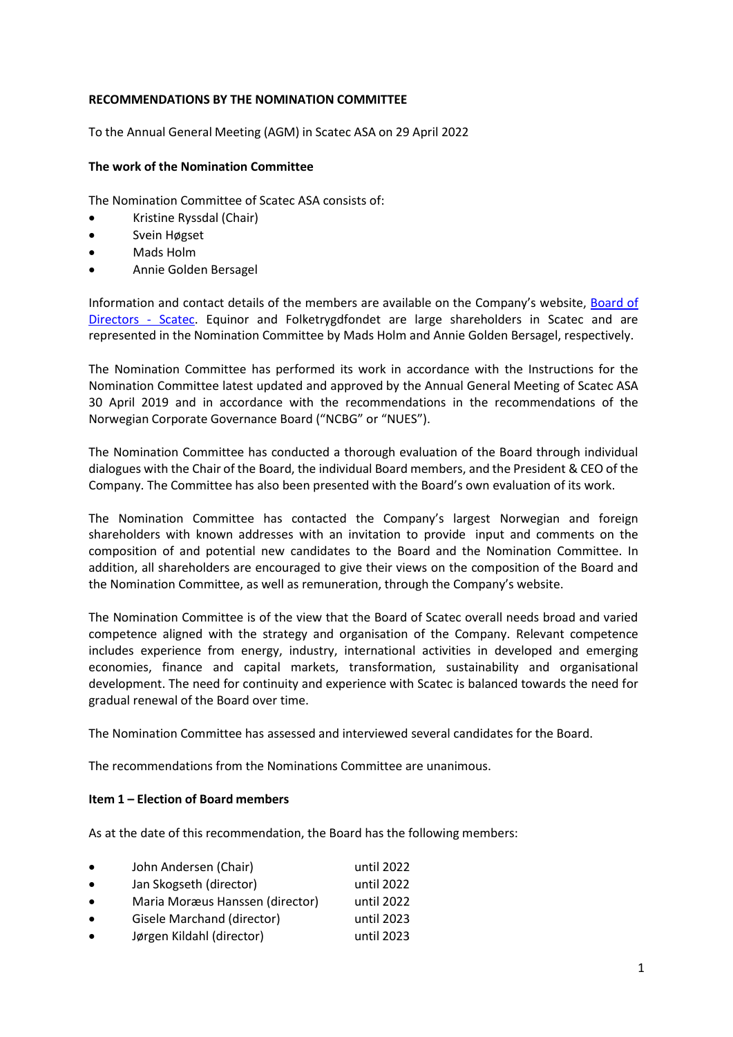# **RECOMMENDATIONS BY THE NOMINATION COMMITTEE**

To the Annual General Meeting (AGM) in Scatec ASA on 29 April 2022

#### **The work of the Nomination Committee**

The Nomination Committee of Scatec ASA consists of:

- Kristine Ryssdal (Chair)
- Svein Høgset
- Mads Holm
- Annie Golden Bersagel

Information and contact details of the members are available on the Company's website, [Board of](https://scatec.com/investor/board-of-directors/)  [Directors -](https://scatec.com/investor/board-of-directors/) Scatec. Equinor and Folketrygdfondet are large shareholders in Scatec and are represented in the Nomination Committee by Mads Holm and Annie Golden Bersagel, respectively.

The Nomination Committee has performed its work in accordance with the Instructions for the Nomination Committee latest updated and approved by the Annual General Meeting of Scatec ASA 30 April 2019 and in accordance with the recommendations in the recommendations of the Norwegian Corporate Governance Board ("NCBG" or "NUES").

The Nomination Committee has conducted a thorough evaluation of the Board through individual dialogues with the Chair of the Board, the individual Board members, and the President & CEO of the Company. The Committee has also been presented with the Board's own evaluation of its work.

The Nomination Committee has contacted the Company's largest Norwegian and foreign shareholders with known addresses with an invitation to provide input and comments on the composition of and potential new candidates to the Board and the Nomination Committee. In addition, all shareholders are encouraged to give their views on the composition of the Board and the Nomination Committee, as well as remuneration, through the Company's website.

The Nomination Committee is of the view that the Board of Scatec overall needs broad and varied competence aligned with the strategy and organisation of the Company. Relevant competence includes experience from energy, industry, international activities in developed and emerging economies, finance and capital markets, transformation, sustainability and organisational development. The need for continuity and experience with Scatec is balanced towards the need for gradual renewal of the Board over time.

The Nomination Committee has assessed and interviewed several candidates for the Board.

The recommendations from the Nominations Committee are unanimous.

## **Item 1 – Election of Board members**

As at the date of this recommendation, the Board has the following members:

| $\bullet$ | John Andersen (Chair)           | until 2022 |
|-----------|---------------------------------|------------|
| $\bullet$ | Jan Skogseth (director)         | until 2022 |
| $\bullet$ | Maria Moræus Hanssen (director) | until 2022 |
| $\bullet$ | Gisele Marchand (director)      | until 2023 |
| $\bullet$ | Jørgen Kildahl (director)       | until 2023 |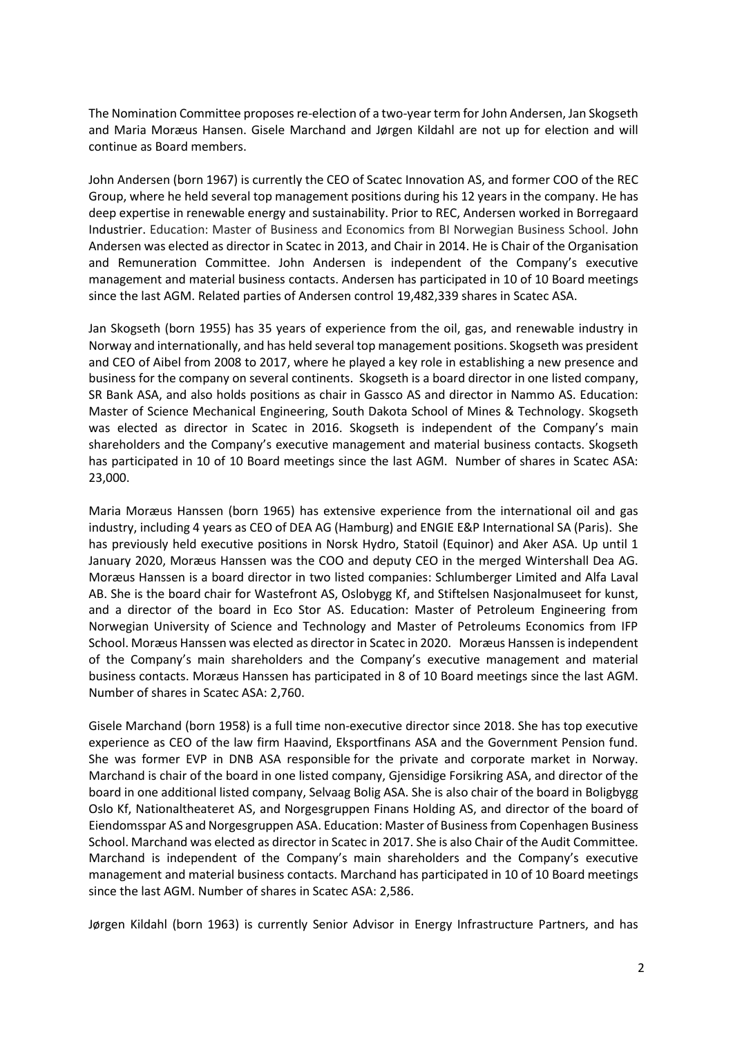The Nomination Committee proposes re-election of a two-year term for John Andersen, Jan Skogseth and Maria Moræus Hansen. Gisele Marchand and Jørgen Kildahl are not up for election and will continue as Board members.

John Andersen (born 1967) is currently the CEO of Scatec Innovation AS, and former COO of the REC Group, where he held several top management positions during his 12 years in the company. He has deep expertise in renewable energy and sustainability. Prior to REC, Andersen worked in Borregaard Industrier. Education: Master of Business and Economics from BI Norwegian Business School. John Andersen was elected as director in Scatec in 2013, and Chair in 2014. He is Chair of the Organisation and Remuneration Committee. John Andersen is independent of the Company's executive management and material business contacts. Andersen has participated in 10 of 10 Board meetings since the last AGM. Related parties of Andersen control 19,482,339 shares in Scatec ASA.

Jan Skogseth (born 1955) has 35 years of experience from the oil, gas, and renewable industry in Norway and internationally, and has held several top management positions. Skogseth was president and CEO of Aibel from 2008 to 2017, where he played a key role in establishing a new presence and business for the company on several continents. Skogseth is a board director in one listed company, SR Bank ASA, and also holds positions as chair in Gassco AS and director in Nammo AS. Education: Master of Science Mechanical Engineering, South Dakota School of Mines & Technology. Skogseth was elected as director in Scatec in 2016. Skogseth is independent of the Company's main shareholders and the Company's executive management and material business contacts. Skogseth has participated in 10 of 10 Board meetings since the last AGM. Number of shares in Scatec ASA: 23,000.

Maria Moræus Hanssen (born 1965) has extensive experience from the international oil and gas industry, including 4 years as CEO of DEA AG (Hamburg) and ENGIE E&P International SA (Paris). She has previously held executive positions in Norsk Hydro, Statoil (Equinor) and Aker ASA. Up until 1 January 2020, Moræus Hanssen was the COO and deputy CEO in the merged Wintershall Dea AG. Moræus Hanssen is a board director in two listed companies: Schlumberger Limited and Alfa Laval AB. She is the board chair for Wastefront AS, Oslobygg Kf, and Stiftelsen Nasjonalmuseet for kunst, and a director of the board in Eco Stor AS. Education: Master of Petroleum Engineering from Norwegian University of Science and Technology and Master of Petroleums Economics from IFP School. Moræus Hanssen was elected as director in Scatec in 2020. Moræus Hanssen is independent of the Company's main shareholders and the Company's executive management and material business contacts. Moræus Hanssen has participated in 8 of 10 Board meetings since the last AGM. Number of shares in Scatec ASA: 2,760.

Gisele Marchand (born 1958) is a full time non-executive director since 2018. She has top executive experience as CEO of the law firm Haavind, Eksportfinans ASA and the Government Pension fund. She was former EVP in DNB ASA responsible for the private and corporate market in Norway. Marchand is chair of the board in one listed company, Gjensidige Forsikring ASA, and director of the board in one additional listed company, Selvaag Bolig ASA. She is also chair of the board in Boligbygg Oslo Kf, Nationaltheateret AS, and Norgesgruppen Finans Holding AS, and director of the board of Eiendomsspar AS and Norgesgruppen ASA. Education: Master of Business from Copenhagen Business School. Marchand was elected as director in Scatec in 2017. She is also Chair of the Audit Committee. Marchand is independent of the Company's main shareholders and the Company's executive management and material business contacts. Marchand has participated in 10 of 10 Board meetings since the last AGM. Number of shares in Scatec ASA: 2,586.

Jørgen Kildahl (born 1963) is currently Senior Advisor in Energy Infrastructure Partners, and has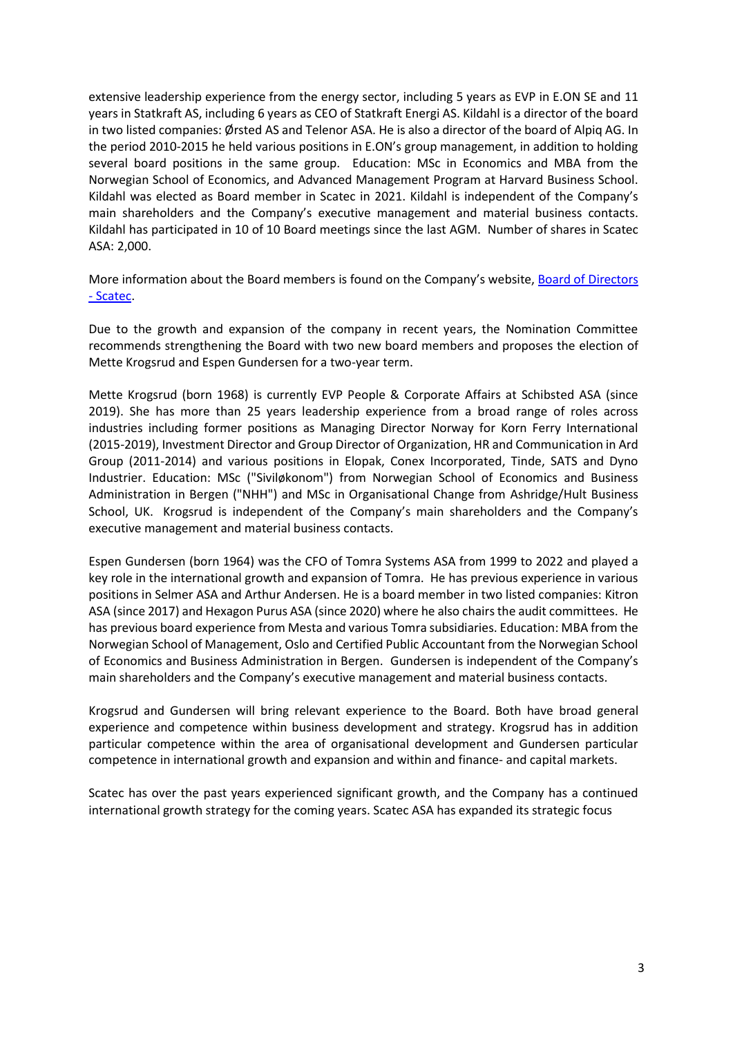extensive leadership experience from the energy sector, including 5 years as EVP in E.ON SE and 11 years in Statkraft AS, including 6 years as CEO of Statkraft Energi AS. Kildahl is a director of the board in two listed companies: Ørsted AS and Telenor ASA. He is also a director of the board of Alpiq AG. In the period 2010-2015 he held various positions in E.ON's group management, in addition to holding several board positions in the same group. Education: MSc in Economics and MBA from the Norwegian School of Economics, and Advanced Management Program at Harvard Business School. Kildahl was elected as Board member in Scatec in 2021. Kildahl is independent of the Company's main shareholders and the Company's executive management and material business contacts. Kildahl has participated in 10 of 10 Board meetings since the last AGM. Number of shares in Scatec ASA: 2,000.

More information about the Board members is found on the Company's website, Board of Directors - [Scatec.](https://scatec.com/investor/board-of-directors/)

Due to the growth and expansion of the company in recent years, the Nomination Committee recommends strengthening the Board with two new board members and proposes the election of Mette Krogsrud and Espen Gundersen for a two-year term.

Mette Krogsrud (born 1968) is currently EVP People & Corporate Affairs at Schibsted ASA (since 2019). She has more than 25 years leadership experience from a broad range of roles across industries including former positions as Managing Director Norway for Korn Ferry International (2015-2019), Investment Director and Group Director of Organization, HR and Communication in Ard Group (2011-2014) and various positions in Elopak, Conex Incorporated, Tinde, SATS and Dyno Industrier. Education: MSc ("Siviløkonom") from Norwegian School of Economics and Business Administration in Bergen ("NHH") and MSc in Organisational Change from Ashridge/Hult Business School, UK. Krogsrud is independent of the Company's main shareholders and the Company's executive management and material business contacts.

Espen Gundersen (born 1964) was the CFO of Tomra Systems ASA from 1999 to 2022 and played a key role in the international growth and expansion of Tomra. He has previous experience in various positions in Selmer ASA and Arthur Andersen. He is a board member in two listed companies: Kitron ASA (since 2017) and Hexagon Purus ASA (since 2020) where he also chairs the audit committees. He has previous board experience from Mesta and various Tomra subsidiaries. Education: MBA from the Norwegian School of Management, Oslo and Certified Public Accountant from the Norwegian School of Economics and Business Administration in Bergen. Gundersen is independent of the Company's main shareholders and the Company's executive management and material business contacts.

Krogsrud and Gundersen will bring relevant experience to the Board. Both have broad general experience and competence within business development and strategy. Krogsrud has in addition particular competence within the area of organisational development and Gundersen particular competence in international growth and expansion and within and finance- and capital markets.

Scatec has over the past years experienced significant growth, and the Company has a continued international growth strategy for the coming years. Scatec ASA has expanded its strategic focus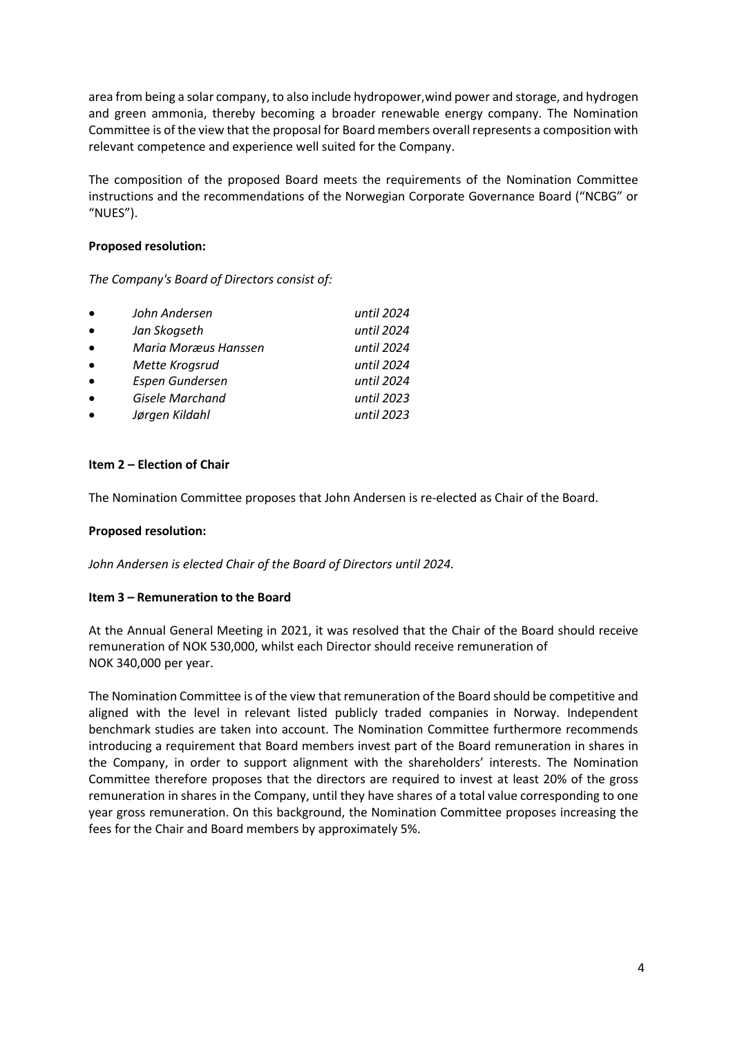area from being a solar company, to also include hydropower,wind power and storage, and hydrogen and green ammonia, thereby becoming a broader renewable energy company. The Nomination Committee is of the view that the proposal for Board members overall represents a composition with relevant competence and experience well suited for the Company.

The composition of the proposed Board meets the requirements of the Nomination Committee instructions and the recommendations of the Norwegian Corporate Governance Board ("NCBG" or "NUES").

#### **Proposed resolution:**

*The Company's Board of Directors consist of:*

| $\bullet$ | John Andersen        | until 2024 |
|-----------|----------------------|------------|
| $\bullet$ | Jan Skogseth         | until 2024 |
| $\bullet$ | Maria Moræus Hanssen | until 2024 |
| $\bullet$ | Mette Krogsrud       | until 2024 |
| $\bullet$ | Espen Gundersen      | until 2024 |
| $\bullet$ | Gisele Marchand      | until 2023 |
| $\bullet$ | Jørgen Kildahl       | until 2023 |

## **Item 2 – Election of Chair**

The Nomination Committee proposes that John Andersen is re-elected as Chair of the Board.

## **Proposed resolution:**

*John Andersen is elected Chair of the Board of Directors until 2024.* 

## **Item 3 – Remuneration to the Board**

At the Annual General Meeting in 2021, it was resolved that the Chair of the Board should receive remuneration of NOK 530,000, whilst each Director should receive remuneration of NOK 340,000 per year.

The Nomination Committee is of the view that remuneration of the Board should be competitive and aligned with the level in relevant listed publicly traded companies in Norway. Independent benchmark studies are taken into account. The Nomination Committee furthermore recommends introducing a requirement that Board members invest part of the Board remuneration in shares in the Company, in order to support alignment with the shareholders' interests. The Nomination Committee therefore proposes that the directors are required to invest at least 20% of the gross remuneration in shares in the Company, until they have shares of a total value corresponding to one year gross remuneration. On this background, the Nomination Committee proposes increasing the fees for the Chair and Board members by approximately 5%.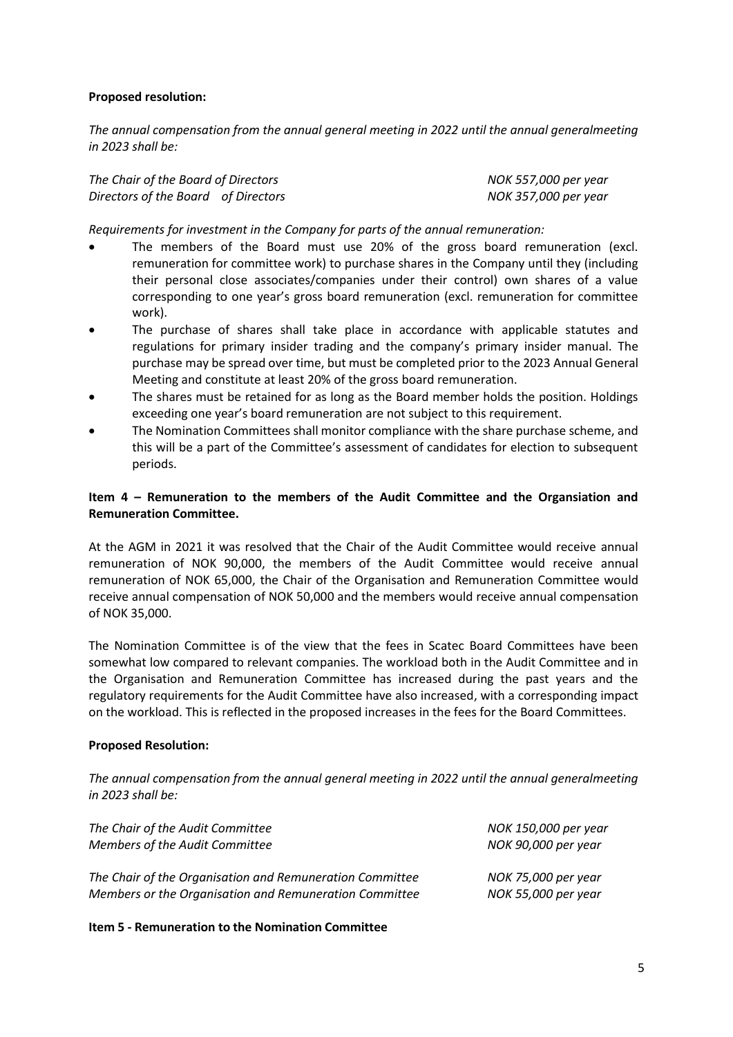# **Proposed resolution:**

*The annual compensation from the annual general meeting in 2022 until the annual generalmeeting in 2023 shall be:*

| The Chair of the Board of Directors | NOK 557,000 per year |
|-------------------------------------|----------------------|
| Directors of the Board of Directors | NOK 357,000 per year |

*Requirements for investment in the Company for parts of the annual remuneration:* 

- The members of the Board must use 20% of the gross board remuneration (excl. remuneration for committee work) to purchase shares in the Company until they (including their personal close associates/companies under their control) own shares of a value corresponding to one year's gross board remuneration (excl. remuneration for committee work).
- The purchase of shares shall take place in accordance with applicable statutes and regulations for primary insider trading and the company's primary insider manual. The purchase may be spread over time, but must be completed prior to the 2023 Annual General Meeting and constitute at least 20% of the gross board remuneration.
- The shares must be retained for as long as the Board member holds the position. Holdings exceeding one year's board remuneration are not subject to this requirement.
- The Nomination Committees shall monitor compliance with the share purchase scheme, and this will be a part of the Committee's assessment of candidates for election to subsequent periods.

# **Item 4 – Remuneration to the members of the Audit Committee and the Organsiation and Remuneration Committee.**

At the AGM in 2021 it was resolved that the Chair of the Audit Committee would receive annual remuneration of NOK 90,000, the members of the Audit Committee would receive annual remuneration of NOK 65,000, the Chair of the Organisation and Remuneration Committee would receive annual compensation of NOK 50,000 and the members would receive annual compensation of NOK 35,000.

The Nomination Committee is of the view that the fees in Scatec Board Committees have been somewhat low compared to relevant companies. The workload both in the Audit Committee and in the Organisation and Remuneration Committee has increased during the past years and the regulatory requirements for the Audit Committee have also increased, with a corresponding impact on the workload. This is reflected in the proposed increases in the fees for the Board Committees.

## **Proposed Resolution:**

*The annual compensation from the annual general meeting in 2022 until the annual generalmeeting in 2023 shall be:*

| The Chair of the Audit Committee                         | NOK 150,000 per year |
|----------------------------------------------------------|----------------------|
| Members of the Audit Committee                           | NOK 90,000 per year  |
| The Chair of the Organisation and Remuneration Committee | NOK 75,000 per year  |
| Members or the Organisation and Remuneration Committee   | NOK 55,000 per year  |

## **Item 5 - Remuneration to the Nomination Committee**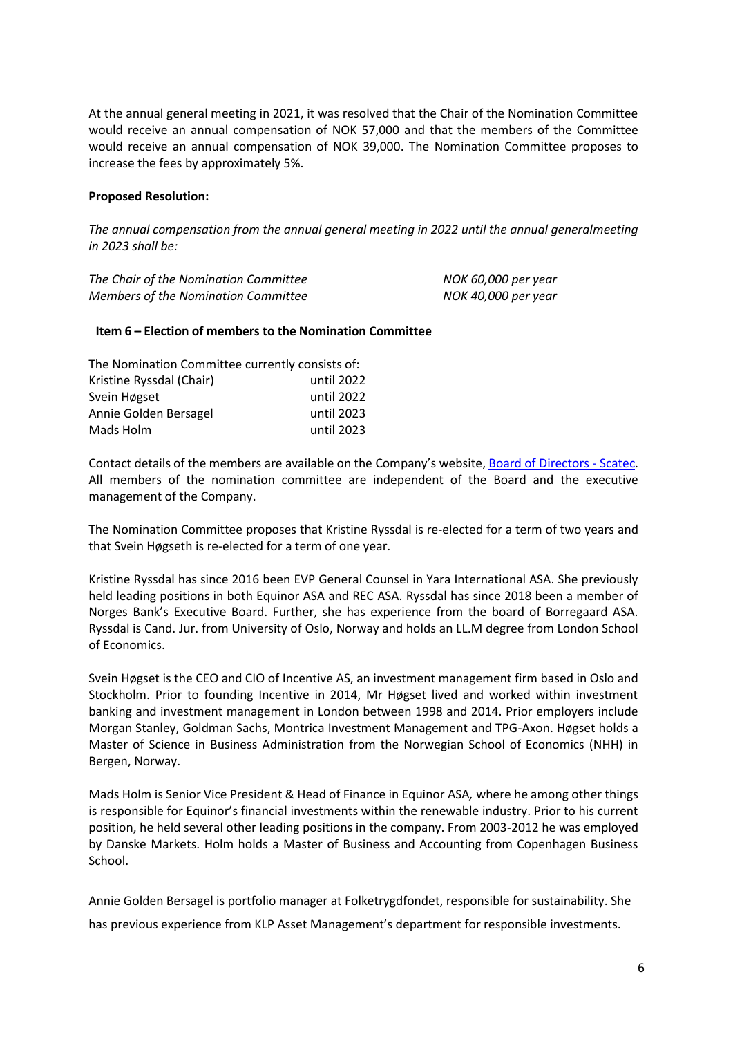At the annual general meeting in 2021, it was resolved that the Chair of the Nomination Committee would receive an annual compensation of NOK 57,000 and that the members of the Committee would receive an annual compensation of NOK 39,000. The Nomination Committee proposes to increase the fees by approximately 5%.

## **Proposed Resolution:**

*The annual compensation from the annual general meeting in 2022 until the annual generalmeeting in 2023 shall be:*

| The Chair of the Nomination Committee      | NOK 60,000 per year |
|--------------------------------------------|---------------------|
| <b>Members of the Nomination Committee</b> | NOK 40,000 per year |

#### **Item 6 – Election of members to the Nomination Committee**

| The Nomination Committee currently consists of: |            |  |
|-------------------------------------------------|------------|--|
| Kristine Ryssdal (Chair)                        | until 2022 |  |
| Svein Høgset                                    | until 2022 |  |
| Annie Golden Bersagel                           | until 2023 |  |
| Mads Holm                                       | until 2023 |  |

Contact details of the members are available on the Company's website, [Board of Directors -](https://scatec.com/investor/board-of-directors/) Scatec. All members of the nomination committee are independent of the Board and the executive management of the Company.

The Nomination Committee proposes that Kristine Ryssdal is re-elected for a term of two years and that Svein Høgseth is re-elected for a term of one year.

Kristine Ryssdal has since 2016 been EVP General Counsel in Yara International ASA. She previously held leading positions in both Equinor ASA and REC ASA. Ryssdal has since 2018 been a member of Norges Bank's Executive Board. Further, she has experience from the board of Borregaard ASA. Ryssdal is Cand. Jur. from University of Oslo, Norway and holds an LL.M degree from London School of Economics.

Svein Høgset is the CEO and CIO of Incentive AS, an investment management firm based in Oslo and Stockholm. Prior to founding Incentive in 2014, Mr Høgset lived and worked within investment banking and investment management in London between 1998 and 2014. Prior employers include Morgan Stanley, Goldman Sachs, Montrica Investment Management and TPG-Axon. Høgset holds a Master of Science in Business Administration from the Norwegian School of Economics (NHH) in Bergen, Norway.

Mads Holm is Senior Vice President & Head of Finance in Equinor ASA*,* where he among other things is responsible for Equinor's financial investments within the renewable industry. Prior to his current position, he held several other leading positions in the company. From 2003-2012 he was employed by Danske Markets. Holm holds a Master of Business and Accounting from Copenhagen Business School.

Annie Golden Bersagel is portfolio manager at Folketrygdfondet, responsible for sustainability. She

has previous experience from KLP Asset Management's department for responsible investments.